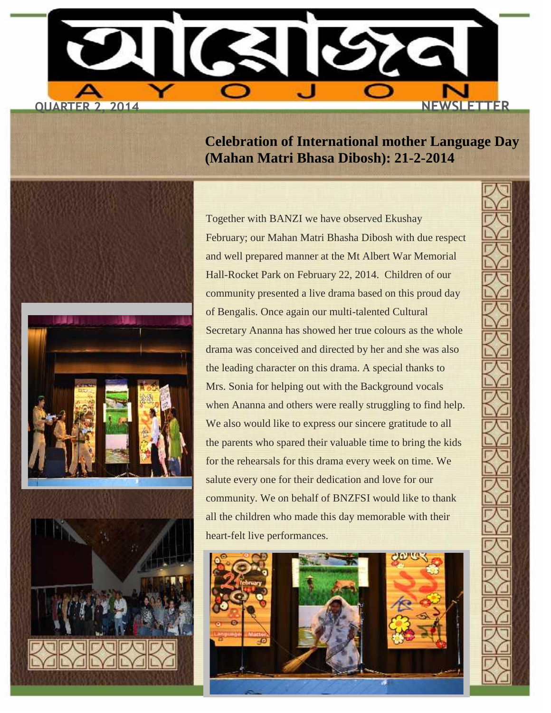

**Celebration of International mother Language Day (Mahan Matri Bhasa Dibosh): 21-2-2014**

Together with BANZI we have observed Ekushay February; our Mahan Matri Bhasha Dibosh with due respect and well prepared manner at the Mt Albert War Memorial Hall-Rocket Park on February 22, 2014. Children of our community presented a live drama based on this proud day of Bengalis. Once again our multi-talented Cultural Secretary Ananna has showed her true colours as the whole drama was conceived and directed by her and she was also the leading character on this drama. A special thanks to Mrs. Sonia for helping out with the Background vocals when Ananna and others were really struggling to find help. We also would like to express our sincere gratitude to all the parents who spared their valuable time to bring the kids for the rehearsals for this drama every week on time. We salute every one for their dedication and love for our community. We on behalf of BNZFSI would like to thank all the children who made this day memorable with their heart-felt live performances.

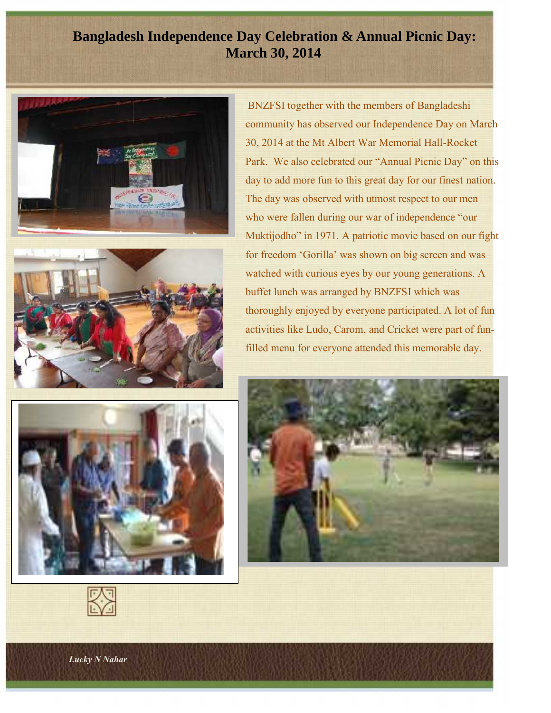### **Bangladesh Independence Day Celebration & Annual Picnic Day: March 30, 2014**





BNZFSI together with the members of Bangladeshi community has observed our Independence Day on March 30, 2014 at the Mt Albert War Memorial Hall-Rocket Park. We also celebrated our "Annual Picnic Day" on this day to add more fun to this great day for our finest nation. The day was observed with utmost respect to our men who were fallen during our war of independence "our Muktijodho" in 1971. A patriotic movie based on our fight for freedom 'Gorilla' was shown on big screen and was watched with curious eyes by our young generations. A buffet lunch was arranged by BNZFSI which was thoroughly enjoyed by everyone participated. A lot of fun activities like Ludo, Carom, and Cricket were part of funfilled menu for everyone attended this memorable day.



*Lucky N Nahar*

*-*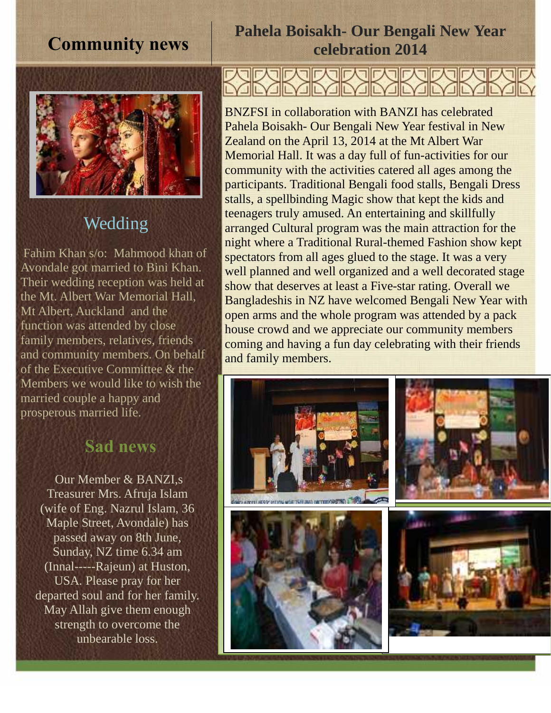## **Community news**



## Wedding

Fahim Khan s/o: Mahmood khan of Avondale got married to Bini Khan. *.* Their wedding reception was held at the Mt. Albert War Memorial Hall, Mt Albert, Auckland and the function was attended by close family members, relatives, friends and community members. On behalf of the Executive Committee & the Members we would like to wish the married couple a happy and prosperous married life.

# **Sad news**

Our Member & BANZI,s Treasurer Mrs. Afruja Islam (wife of Eng. Nazrul Islam, 36 Maple Street, Avondale) has passed away on 8th June, Sunday, NZ time 6.34 am (Innal-----Rajeun) at Huston*,* USA*.* Please pray for her departed soul and for her family. May Allah give them enough strength to overcome the unbearable loss.

## **Pahela Boisakh- Our Bengali New Year celebration 2014**

JILYJILYJIL

BNZFSI in collaboration with BANZI has celebrated Pahela Boisakh- Our Bengali New Year festival in New Zealand on the April 13, 2014 at the Mt Albert War Memorial Hall. It was a day full of fun-activities for our community with the activities catered all ages among the participants. Traditional Bengali food stalls, Bengali Dress stalls, a spellbinding Magic show that kept the kids and teenagers truly amused. An entertaining and skillfully arranged Cultural program was the main attraction for the night where a Traditional Rural-themed Fashion show kept spectators from all ages glued to the stage. It was a very well planned and well organized and a well decorated stage show that deserves at least a Five-star rating. Overall we Bangladeshis in NZ have welcomed Bengali New Year with open arms and the whole program was attended by a pack house crowd and we appreciate our community members coming and having a fun day celebrating with their friends and family members.